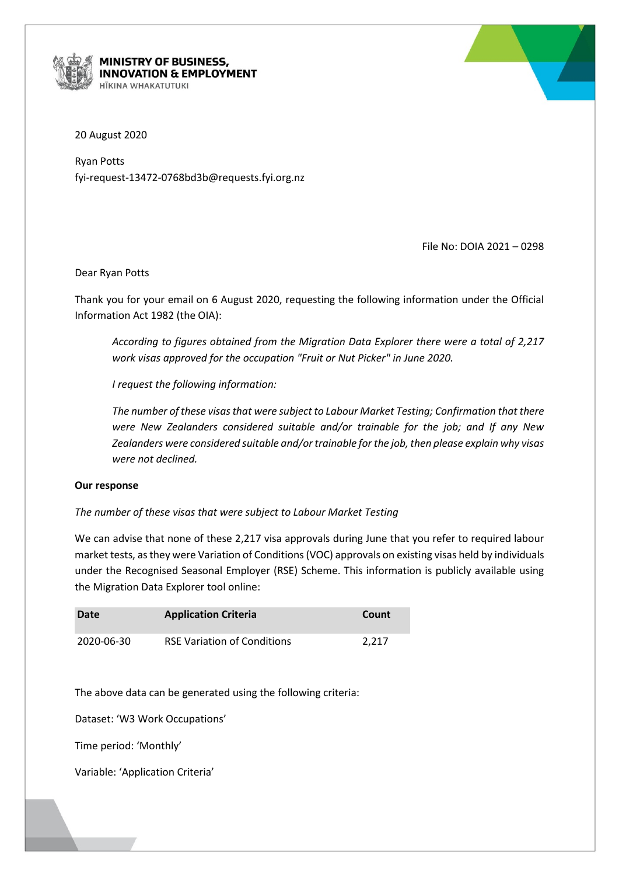

## MINISTRY OF BUSINESS, **INNOVATION & EMPLOYMENT ITKINA WHAKATUTUKI**



20 August 2020

Ryan Potts fyi-request-13472-0768bd3b@requests.fyi.org.nz

File No: DOIA 2021 – 0298

## Dear Ryan Potts

Thank you for your email on 6 August 2020, requesting the following information under the Official Information Act 1982 (the OIA):

*According to figures obtained from the Migration Data Explorer there were a total of 2,217 work visas approved for the occupation "Fruit or Nut Picker" in June 2020.*

*I request the following information:*

*The number of these visas that were subject to Labour Market Testing; Confirmation that there were New Zealanders considered suitable and/or trainable for the job; and If any New Zealanders were considered suitable and/or trainable for the job, then please explain why visas were not declined.*

## **Our response**

*The number of these visas that were subject to Labour Market Testing*

We can advise that none of these 2,217 visa approvals during June that you refer to required labour market tests, as they were Variation of Conditions(VOC) approvals on existing visas held by individuals under the Recognised Seasonal Employer (RSE) Scheme. This information is publicly available using the Migration Data Explorer tool online:

| Date       | <b>Application Criteria</b>        | Count |
|------------|------------------------------------|-------|
| 2020-06-30 | <b>RSE Variation of Conditions</b> | 2.217 |

The above data can be generated using the following criteria:

Dataset: 'W3 Work Occupations'

Time period: 'Monthly'

Variable: 'Application Criteria'